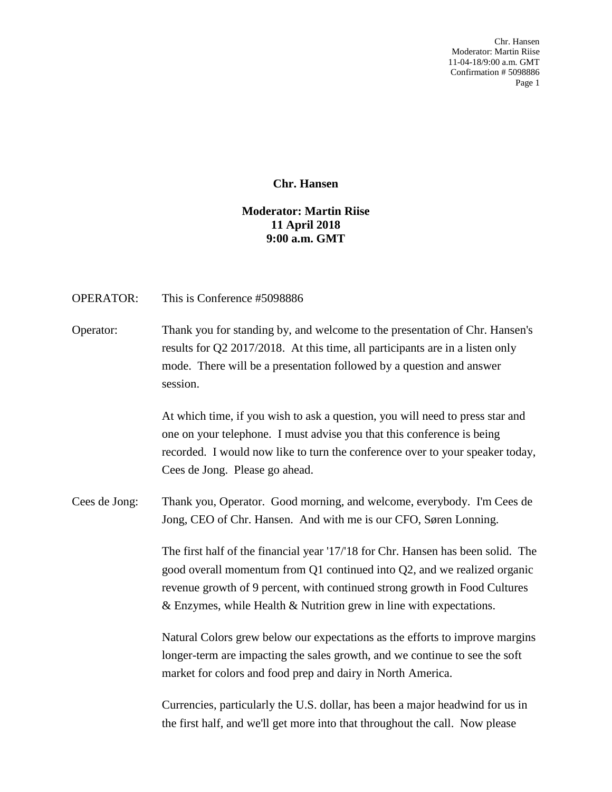Chr. Hansen Moderator: Martin Riise 11-04-18/9:00 a.m. GMT Confirmation # 5098886 Page 1

## **Chr. Hansen**

## **Moderator: Martin Riise 11 April 2018 9:00 a.m. GMT**

| <b>OPERATOR:</b> | This is Conference #5098886                                                                                                                                                                                                                                                                                       |
|------------------|-------------------------------------------------------------------------------------------------------------------------------------------------------------------------------------------------------------------------------------------------------------------------------------------------------------------|
| Operator:        | Thank you for standing by, and welcome to the presentation of Chr. Hansen's<br>results for Q2 2017/2018. At this time, all participants are in a listen only<br>mode. There will be a presentation followed by a question and answer<br>session.                                                                  |
|                  | At which time, if you wish to ask a question, you will need to press star and<br>one on your telephone. I must advise you that this conference is being<br>recorded. I would now like to turn the conference over to your speaker today,<br>Cees de Jong. Please go ahead.                                        |
| Cees de Jong:    | Thank you, Operator. Good morning, and welcome, everybody. I'm Cees de<br>Jong, CEO of Chr. Hansen. And with me is our CFO, Søren Lonning.                                                                                                                                                                        |
|                  | The first half of the financial year '17/'18 for Chr. Hansen has been solid. The<br>good overall momentum from Q1 continued into Q2, and we realized organic<br>revenue growth of 9 percent, with continued strong growth in Food Cultures<br>& Enzymes, while Health & Nutrition grew in line with expectations. |
|                  | Natural Colors grew below our expectations as the efforts to improve margins<br>longer-term are impacting the sales growth, and we continue to see the soft<br>market for colors and food prep and dairy in North America.                                                                                        |
|                  | Currencies, particularly the U.S. dollar, has been a major headwind for us in                                                                                                                                                                                                                                     |

the first half, and we'll get more into that throughout the call. Now please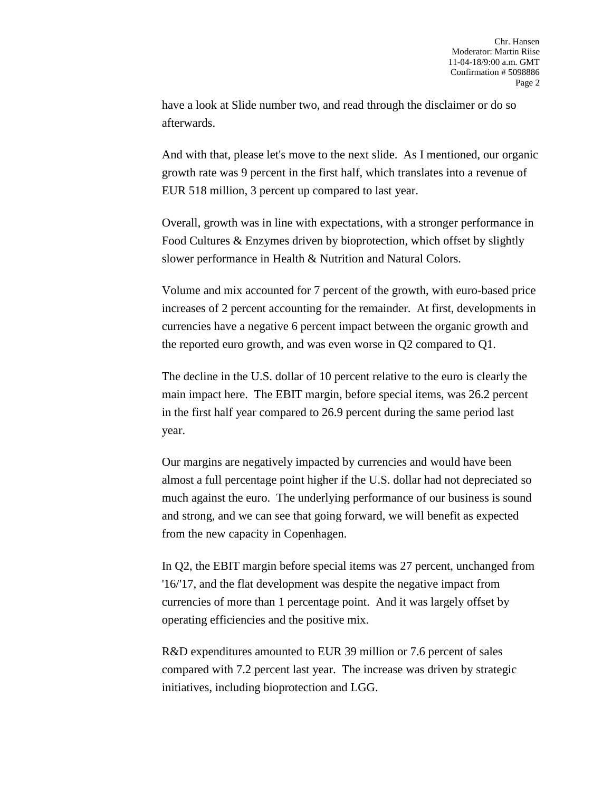have a look at Slide number two, and read through the disclaimer or do so afterwards.

And with that, please let's move to the next slide. As I mentioned, our organic growth rate was 9 percent in the first half, which translates into a revenue of EUR 518 million, 3 percent up compared to last year.

Overall, growth was in line with expectations, with a stronger performance in Food Cultures & Enzymes driven by bioprotection, which offset by slightly slower performance in Health & Nutrition and Natural Colors.

Volume and mix accounted for 7 percent of the growth, with euro-based price increases of 2 percent accounting for the remainder. At first, developments in currencies have a negative 6 percent impact between the organic growth and the reported euro growth, and was even worse in Q2 compared to Q1.

The decline in the U.S. dollar of 10 percent relative to the euro is clearly the main impact here. The EBIT margin, before special items, was 26.2 percent in the first half year compared to 26.9 percent during the same period last year.

Our margins are negatively impacted by currencies and would have been almost a full percentage point higher if the U.S. dollar had not depreciated so much against the euro. The underlying performance of our business is sound and strong, and we can see that going forward, we will benefit as expected from the new capacity in Copenhagen.

In Q2, the EBIT margin before special items was 27 percent, unchanged from '16/'17, and the flat development was despite the negative impact from currencies of more than 1 percentage point. And it was largely offset by operating efficiencies and the positive mix.

R&D expenditures amounted to EUR 39 million or 7.6 percent of sales compared with 7.2 percent last year. The increase was driven by strategic initiatives, including bioprotection and LGG.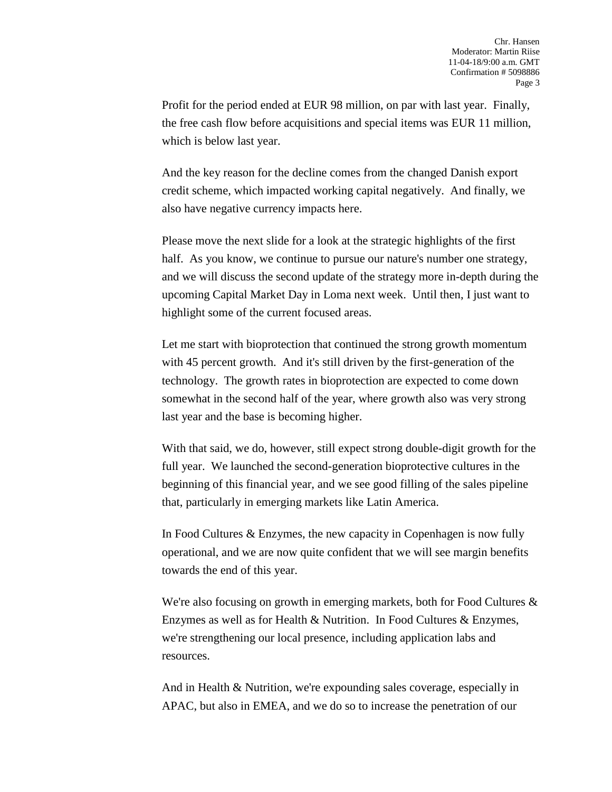Profit for the period ended at EUR 98 million, on par with last year. Finally, the free cash flow before acquisitions and special items was EUR 11 million, which is below last year.

And the key reason for the decline comes from the changed Danish export credit scheme, which impacted working capital negatively. And finally, we also have negative currency impacts here.

Please move the next slide for a look at the strategic highlights of the first half. As you know, we continue to pursue our nature's number one strategy, and we will discuss the second update of the strategy more in-depth during the upcoming Capital Market Day in Loma next week. Until then, I just want to highlight some of the current focused areas.

Let me start with bioprotection that continued the strong growth momentum with 45 percent growth. And it's still driven by the first-generation of the technology. The growth rates in bioprotection are expected to come down somewhat in the second half of the year, where growth also was very strong last year and the base is becoming higher.

With that said, we do, however, still expect strong double-digit growth for the full year. We launched the second-generation bioprotective cultures in the beginning of this financial year, and we see good filling of the sales pipeline that, particularly in emerging markets like Latin America.

In Food Cultures & Enzymes, the new capacity in Copenhagen is now fully operational, and we are now quite confident that we will see margin benefits towards the end of this year.

We're also focusing on growth in emerging markets, both for Food Cultures & Enzymes as well as for Health & Nutrition. In Food Cultures & Enzymes, we're strengthening our local presence, including application labs and resources.

And in Health & Nutrition, we're expounding sales coverage, especially in APAC, but also in EMEA, and we do so to increase the penetration of our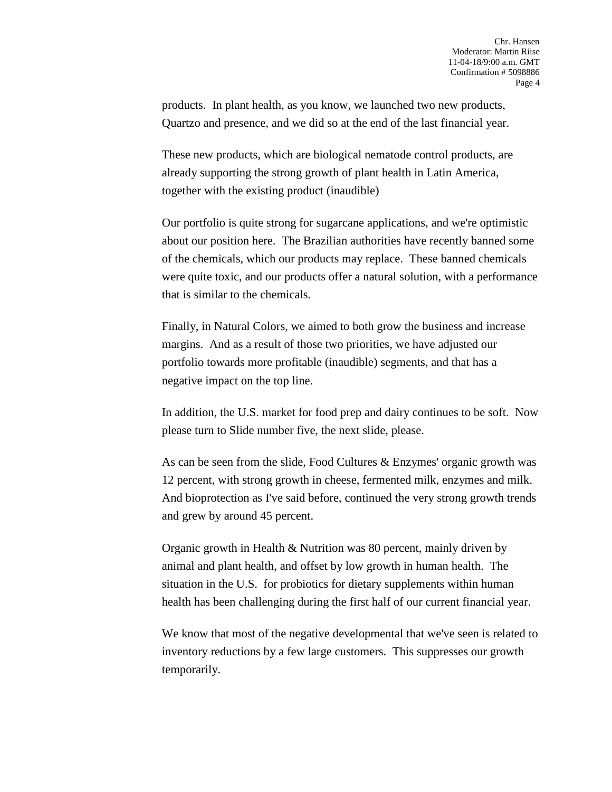products. In plant health, as you know, we launched two new products, Quartzo and presence, and we did so at the end of the last financial year.

These new products, which are biological nematode control products, are already supporting the strong growth of plant health in Latin America, together with the existing product (inaudible)

Our portfolio is quite strong for sugarcane applications, and we're optimistic about our position here. The Brazilian authorities have recently banned some of the chemicals, which our products may replace. These banned chemicals were quite toxic, and our products offer a natural solution, with a performance that is similar to the chemicals.

Finally, in Natural Colors, we aimed to both grow the business and increase margins. And as a result of those two priorities, we have adjusted our portfolio towards more profitable (inaudible) segments, and that has a negative impact on the top line.

In addition, the U.S. market for food prep and dairy continues to be soft. Now please turn to Slide number five, the next slide, please.

As can be seen from the slide, Food Cultures & Enzymes' organic growth was 12 percent, with strong growth in cheese, fermented milk, enzymes and milk. And bioprotection as I've said before, continued the very strong growth trends and grew by around 45 percent.

Organic growth in Health & Nutrition was 80 percent, mainly driven by animal and plant health, and offset by low growth in human health. The situation in the U.S. for probiotics for dietary supplements within human health has been challenging during the first half of our current financial year.

We know that most of the negative developmental that we've seen is related to inventory reductions by a few large customers. This suppresses our growth temporarily.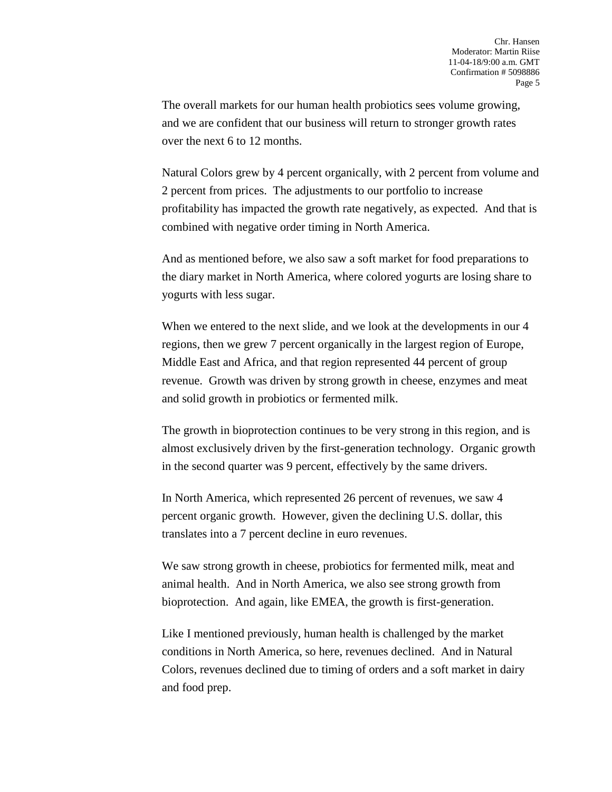The overall markets for our human health probiotics sees volume growing, and we are confident that our business will return to stronger growth rates over the next 6 to 12 months.

Natural Colors grew by 4 percent organically, with 2 percent from volume and 2 percent from prices. The adjustments to our portfolio to increase profitability has impacted the growth rate negatively, as expected. And that is combined with negative order timing in North America.

And as mentioned before, we also saw a soft market for food preparations to the diary market in North America, where colored yogurts are losing share to yogurts with less sugar.

When we entered to the next slide, and we look at the developments in our 4 regions, then we grew 7 percent organically in the largest region of Europe, Middle East and Africa, and that region represented 44 percent of group revenue. Growth was driven by strong growth in cheese, enzymes and meat and solid growth in probiotics or fermented milk.

The growth in bioprotection continues to be very strong in this region, and is almost exclusively driven by the first-generation technology. Organic growth in the second quarter was 9 percent, effectively by the same drivers.

In North America, which represented 26 percent of revenues, we saw 4 percent organic growth. However, given the declining U.S. dollar, this translates into a 7 percent decline in euro revenues.

We saw strong growth in cheese, probiotics for fermented milk, meat and animal health. And in North America, we also see strong growth from bioprotection. And again, like EMEA, the growth is first-generation.

Like I mentioned previously, human health is challenged by the market conditions in North America, so here, revenues declined. And in Natural Colors, revenues declined due to timing of orders and a soft market in dairy and food prep.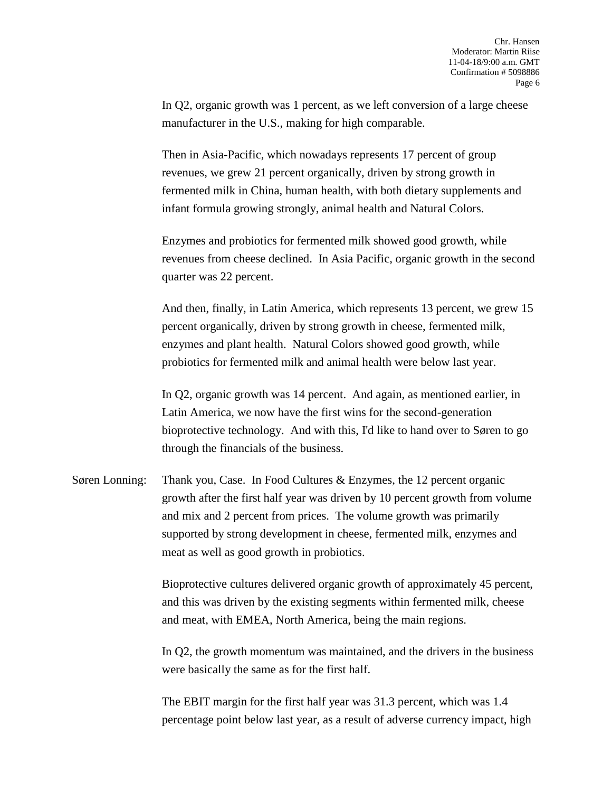In Q2, organic growth was 1 percent, as we left conversion of a large cheese manufacturer in the U.S., making for high comparable.

Then in Asia-Pacific, which nowadays represents 17 percent of group revenues, we grew 21 percent organically, driven by strong growth in fermented milk in China, human health, with both dietary supplements and infant formula growing strongly, animal health and Natural Colors.

Enzymes and probiotics for fermented milk showed good growth, while revenues from cheese declined. In Asia Pacific, organic growth in the second quarter was 22 percent.

And then, finally, in Latin America, which represents 13 percent, we grew 15 percent organically, driven by strong growth in cheese, fermented milk, enzymes and plant health. Natural Colors showed good growth, while probiotics for fermented milk and animal health were below last year.

In Q2, organic growth was 14 percent. And again, as mentioned earlier, in Latin America, we now have the first wins for the second-generation bioprotective technology. And with this, I'd like to hand over to Søren to go through the financials of the business.

Søren Lonning: Thank you, Case. In Food Cultures & Enzymes, the 12 percent organic growth after the first half year was driven by 10 percent growth from volume and mix and 2 percent from prices. The volume growth was primarily supported by strong development in cheese, fermented milk, enzymes and meat as well as good growth in probiotics.

> Bioprotective cultures delivered organic growth of approximately 45 percent, and this was driven by the existing segments within fermented milk, cheese and meat, with EMEA, North America, being the main regions.

> In Q2, the growth momentum was maintained, and the drivers in the business were basically the same as for the first half.

> The EBIT margin for the first half year was 31.3 percent, which was 1.4 percentage point below last year, as a result of adverse currency impact, high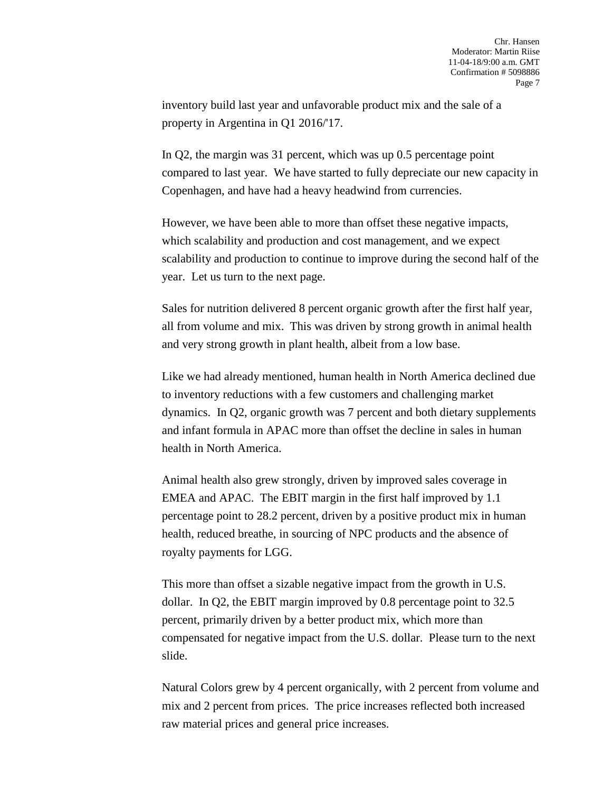inventory build last year and unfavorable product mix and the sale of a property in Argentina in Q1 2016/'17.

In Q2, the margin was 31 percent, which was up 0.5 percentage point compared to last year. We have started to fully depreciate our new capacity in Copenhagen, and have had a heavy headwind from currencies.

However, we have been able to more than offset these negative impacts, which scalability and production and cost management, and we expect scalability and production to continue to improve during the second half of the year. Let us turn to the next page.

Sales for nutrition delivered 8 percent organic growth after the first half year, all from volume and mix. This was driven by strong growth in animal health and very strong growth in plant health, albeit from a low base.

Like we had already mentioned, human health in North America declined due to inventory reductions with a few customers and challenging market dynamics. In Q2, organic growth was 7 percent and both dietary supplements and infant formula in APAC more than offset the decline in sales in human health in North America.

Animal health also grew strongly, driven by improved sales coverage in EMEA and APAC. The EBIT margin in the first half improved by 1.1 percentage point to 28.2 percent, driven by a positive product mix in human health, reduced breathe, in sourcing of NPC products and the absence of royalty payments for LGG.

This more than offset a sizable negative impact from the growth in U.S. dollar. In Q2, the EBIT margin improved by 0.8 percentage point to 32.5 percent, primarily driven by a better product mix, which more than compensated for negative impact from the U.S. dollar. Please turn to the next slide.

Natural Colors grew by 4 percent organically, with 2 percent from volume and mix and 2 percent from prices. The price increases reflected both increased raw material prices and general price increases.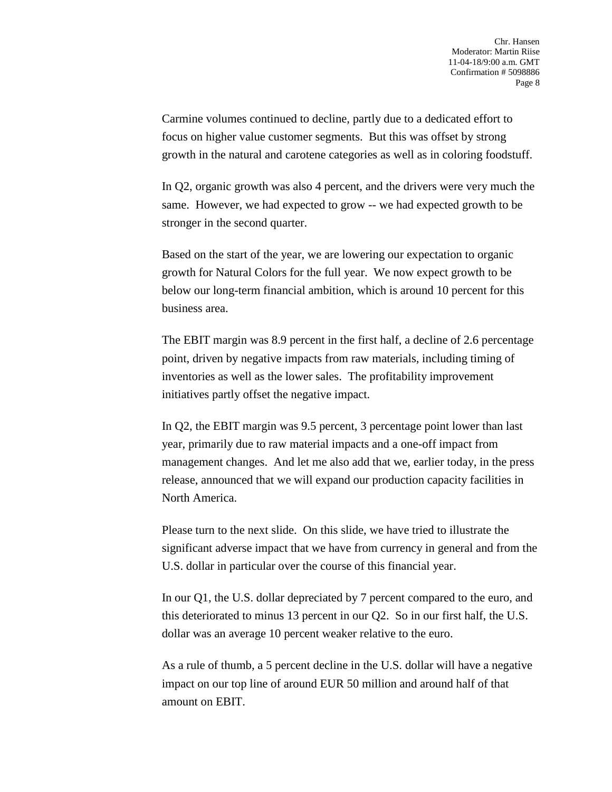Carmine volumes continued to decline, partly due to a dedicated effort to focus on higher value customer segments. But this was offset by strong growth in the natural and carotene categories as well as in coloring foodstuff.

In Q2, organic growth was also 4 percent, and the drivers were very much the same. However, we had expected to grow -- we had expected growth to be stronger in the second quarter.

Based on the start of the year, we are lowering our expectation to organic growth for Natural Colors for the full year. We now expect growth to be below our long-term financial ambition, which is around 10 percent for this business area.

The EBIT margin was 8.9 percent in the first half, a decline of 2.6 percentage point, driven by negative impacts from raw materials, including timing of inventories as well as the lower sales. The profitability improvement initiatives partly offset the negative impact.

In Q2, the EBIT margin was 9.5 percent, 3 percentage point lower than last year, primarily due to raw material impacts and a one-off impact from management changes. And let me also add that we, earlier today, in the press release, announced that we will expand our production capacity facilities in North America.

Please turn to the next slide. On this slide, we have tried to illustrate the significant adverse impact that we have from currency in general and from the U.S. dollar in particular over the course of this financial year.

In our Q1, the U.S. dollar depreciated by 7 percent compared to the euro, and this deteriorated to minus 13 percent in our Q2. So in our first half, the U.S. dollar was an average 10 percent weaker relative to the euro.

As a rule of thumb, a 5 percent decline in the U.S. dollar will have a negative impact on our top line of around EUR 50 million and around half of that amount on EBIT.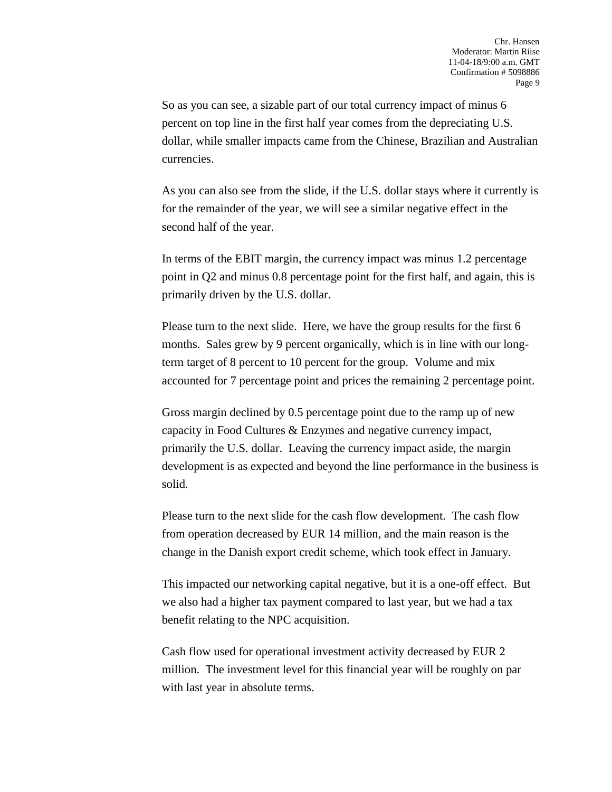So as you can see, a sizable part of our total currency impact of minus 6 percent on top line in the first half year comes from the depreciating U.S. dollar, while smaller impacts came from the Chinese, Brazilian and Australian currencies.

As you can also see from the slide, if the U.S. dollar stays where it currently is for the remainder of the year, we will see a similar negative effect in the second half of the year.

In terms of the EBIT margin, the currency impact was minus 1.2 percentage point in Q2 and minus 0.8 percentage point for the first half, and again, this is primarily driven by the U.S. dollar.

Please turn to the next slide. Here, we have the group results for the first 6 months. Sales grew by 9 percent organically, which is in line with our longterm target of 8 percent to 10 percent for the group. Volume and mix accounted for 7 percentage point and prices the remaining 2 percentage point.

Gross margin declined by 0.5 percentage point due to the ramp up of new capacity in Food Cultures & Enzymes and negative currency impact, primarily the U.S. dollar. Leaving the currency impact aside, the margin development is as expected and beyond the line performance in the business is solid.

Please turn to the next slide for the cash flow development. The cash flow from operation decreased by EUR 14 million, and the main reason is the change in the Danish export credit scheme, which took effect in January.

This impacted our networking capital negative, but it is a one-off effect. But we also had a higher tax payment compared to last year, but we had a tax benefit relating to the NPC acquisition.

Cash flow used for operational investment activity decreased by EUR 2 million. The investment level for this financial year will be roughly on par with last year in absolute terms.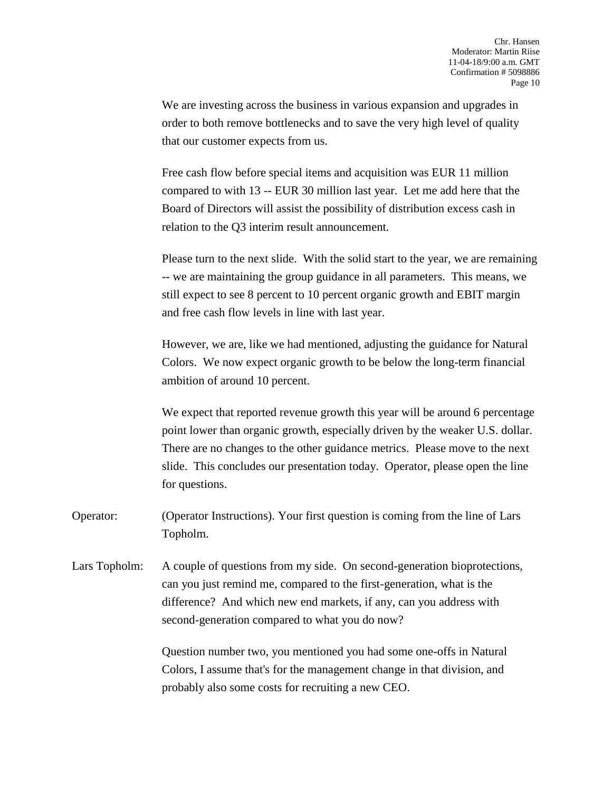We are investing across the business in various expansion and upgrades in order to both remove bottlenecks and to save the very high level of quality that our customer expects from us.

Free cash flow before special items and acquisition was EUR 11 million compared to with 13 -- EUR 30 million last year. Let me add here that the Board of Directors will assist the possibility of distribution excess cash in relation to the Q3 interim result announcement.

Please turn to the next slide. With the solid start to the year, we are remaining -- we are maintaining the group guidance in all parameters. This means, we still expect to see 8 percent to 10 percent organic growth and EBIT margin and free cash flow levels in line with last year.

However, we are, like we had mentioned, adjusting the guidance for Natural Colors. We now expect organic growth to be below the long-term financial ambition of around 10 percent.

We expect that reported revenue growth this year will be around 6 percentage point lower than organic growth, especially driven by the weaker U.S. dollar. There are no changes to the other guidance metrics. Please move to the next slide. This concludes our presentation today. Operator, please open the line for questions.

- Operator: (Operator Instructions). Your first question is coming from the line of Lars Topholm.
- Lars Topholm: A couple of questions from my side. On second-generation bioprotections, can you just remind me, compared to the first-generation, what is the difference? And which new end markets, if any, can you address with second-generation compared to what you do now?

Question number two, you mentioned you had some one-offs in Natural Colors, I assume that's for the management change in that division, and probably also some costs for recruiting a new CEO.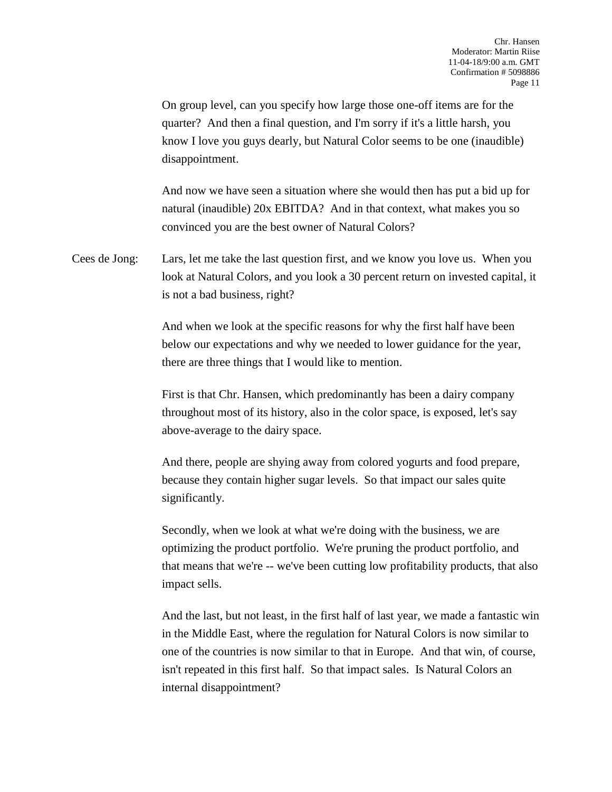On group level, can you specify how large those one-off items are for the quarter? And then a final question, and I'm sorry if it's a little harsh, you know I love you guys dearly, but Natural Color seems to be one (inaudible) disappointment.

And now we have seen a situation where she would then has put a bid up for natural (inaudible) 20x EBITDA? And in that context, what makes you so convinced you are the best owner of Natural Colors?

Cees de Jong: Lars, let me take the last question first, and we know you love us. When you look at Natural Colors, and you look a 30 percent return on invested capital, it is not a bad business, right?

> And when we look at the specific reasons for why the first half have been below our expectations and why we needed to lower guidance for the year, there are three things that I would like to mention.

First is that Chr. Hansen, which predominantly has been a dairy company throughout most of its history, also in the color space, is exposed, let's say above-average to the dairy space.

And there, people are shying away from colored yogurts and food prepare, because they contain higher sugar levels. So that impact our sales quite significantly.

Secondly, when we look at what we're doing with the business, we are optimizing the product portfolio. We're pruning the product portfolio, and that means that we're -- we've been cutting low profitability products, that also impact sells.

And the last, but not least, in the first half of last year, we made a fantastic win in the Middle East, where the regulation for Natural Colors is now similar to one of the countries is now similar to that in Europe. And that win, of course, isn't repeated in this first half. So that impact sales. Is Natural Colors an internal disappointment?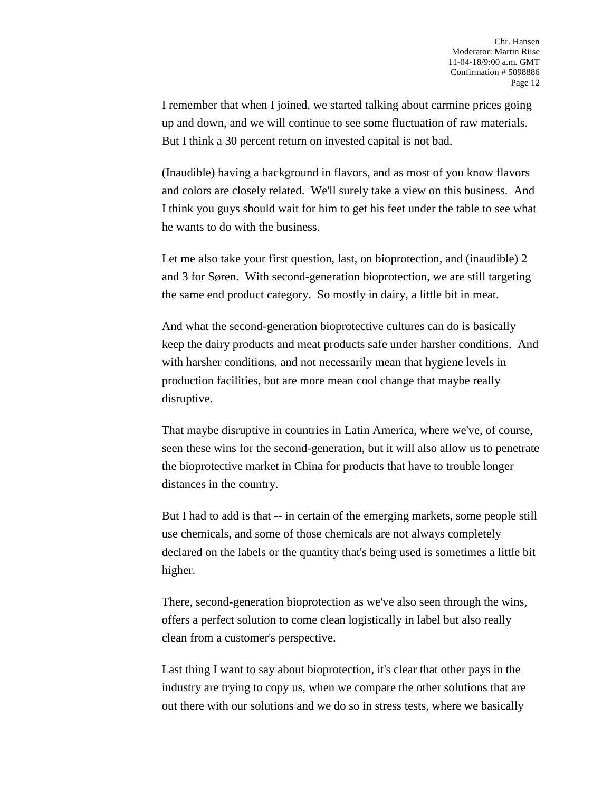I remember that when I joined, we started talking about carmine prices going up and down, and we will continue to see some fluctuation of raw materials. But I think a 30 percent return on invested capital is not bad.

(Inaudible) having a background in flavors, and as most of you know flavors and colors are closely related. We'll surely take a view on this business. And I think you guys should wait for him to get his feet under the table to see what he wants to do with the business.

Let me also take your first question, last, on bioprotection, and (inaudible) 2 and 3 for Søren. With second-generation bioprotection, we are still targeting the same end product category. So mostly in dairy, a little bit in meat.

And what the second-generation bioprotective cultures can do is basically keep the dairy products and meat products safe under harsher conditions. And with harsher conditions, and not necessarily mean that hygiene levels in production facilities, but are more mean cool change that maybe really disruptive.

That maybe disruptive in countries in Latin America, where we've, of course, seen these wins for the second-generation, but it will also allow us to penetrate the bioprotective market in China for products that have to trouble longer distances in the country.

But I had to add is that -- in certain of the emerging markets, some people still use chemicals, and some of those chemicals are not always completely declared on the labels or the quantity that's being used is sometimes a little bit higher.

There, second-generation bioprotection as we've also seen through the wins, offers a perfect solution to come clean logistically in label but also really clean from a customer's perspective.

Last thing I want to say about bioprotection, it's clear that other pays in the industry are trying to copy us, when we compare the other solutions that are out there with our solutions and we do so in stress tests, where we basically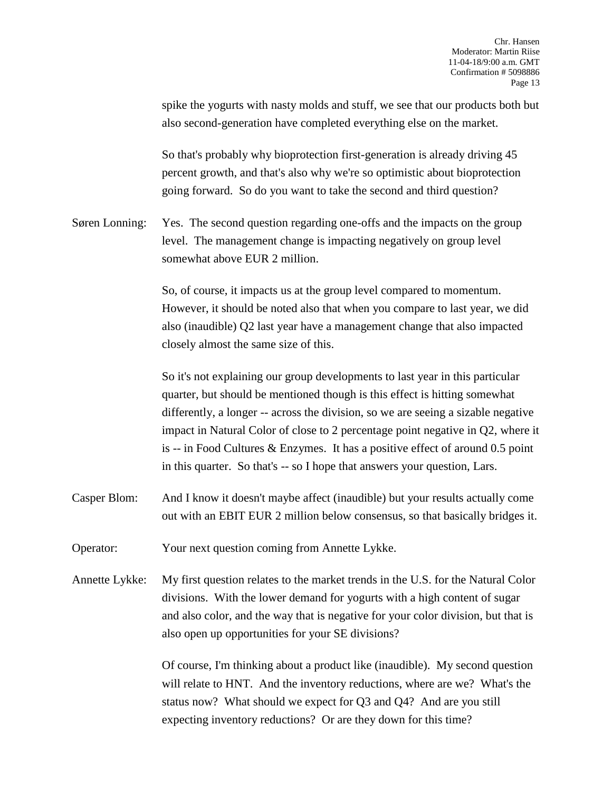spike the yogurts with nasty molds and stuff, we see that our products both but also second-generation have completed everything else on the market.

So that's probably why bioprotection first-generation is already driving 45 percent growth, and that's also why we're so optimistic about bioprotection going forward. So do you want to take the second and third question?

Søren Lonning: Yes. The second question regarding one-offs and the impacts on the group level. The management change is impacting negatively on group level somewhat above EUR 2 million.

> So, of course, it impacts us at the group level compared to momentum. However, it should be noted also that when you compare to last year, we did also (inaudible) Q2 last year have a management change that also impacted closely almost the same size of this.

So it's not explaining our group developments to last year in this particular quarter, but should be mentioned though is this effect is hitting somewhat differently, a longer -- across the division, so we are seeing a sizable negative impact in Natural Color of close to 2 percentage point negative in Q2, where it is -- in Food Cultures & Enzymes. It has a positive effect of around 0.5 point in this quarter. So that's -- so I hope that answers your question, Lars.

- Casper Blom: And I know it doesn't maybe affect (inaudible) but your results actually come out with an EBIT EUR 2 million below consensus, so that basically bridges it.
- Operator: Your next question coming from Annette Lykke.
- Annette Lykke: My first question relates to the market trends in the U.S. for the Natural Color divisions. With the lower demand for yogurts with a high content of sugar and also color, and the way that is negative for your color division, but that is also open up opportunities for your SE divisions?

Of course, I'm thinking about a product like (inaudible). My second question will relate to HNT. And the inventory reductions, where are we? What's the status now? What should we expect for Q3 and Q4? And are you still expecting inventory reductions? Or are they down for this time?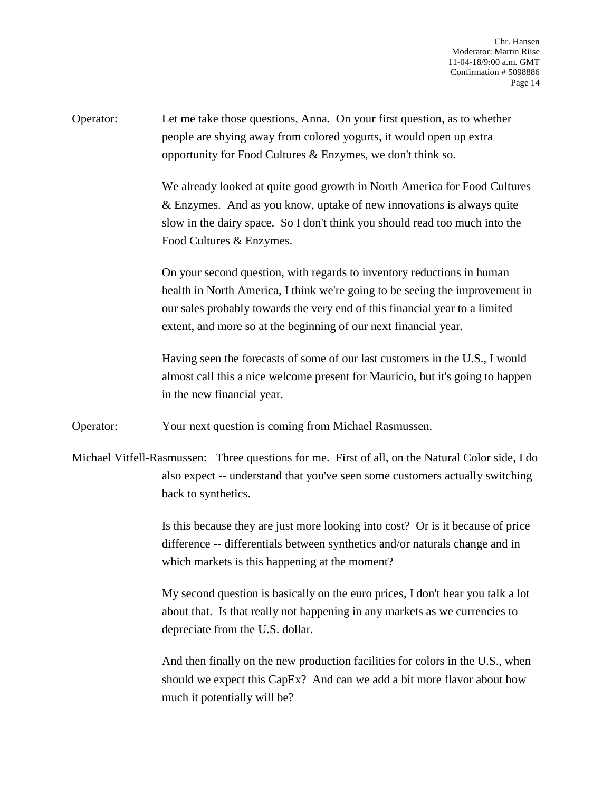Chr. Hansen Moderator: Martin Riise 11-04-18/9:00 a.m. GMT Confirmation # 5098886 Page 14

Operator: Let me take those questions, Anna. On your first question, as to whether people are shying away from colored yogurts, it would open up extra opportunity for Food Cultures & Enzymes, we don't think so.

> We already looked at quite good growth in North America for Food Cultures & Enzymes. And as you know, uptake of new innovations is always quite slow in the dairy space. So I don't think you should read too much into the Food Cultures & Enzymes.

> On your second question, with regards to inventory reductions in human health in North America, I think we're going to be seeing the improvement in our sales probably towards the very end of this financial year to a limited extent, and more so at the beginning of our next financial year.

> Having seen the forecasts of some of our last customers in the U.S., I would almost call this a nice welcome present for Mauricio, but it's going to happen in the new financial year.

Operator: Your next question is coming from Michael Rasmussen.

Michael Vitfell-Rasmussen: Three questions for me. First of all, on the Natural Color side, I do also expect -- understand that you've seen some customers actually switching back to synthetics.

> Is this because they are just more looking into cost? Or is it because of price difference -- differentials between synthetics and/or naturals change and in which markets is this happening at the moment?

> My second question is basically on the euro prices, I don't hear you talk a lot about that. Is that really not happening in any markets as we currencies to depreciate from the U.S. dollar.

> And then finally on the new production facilities for colors in the U.S., when should we expect this CapEx? And can we add a bit more flavor about how much it potentially will be?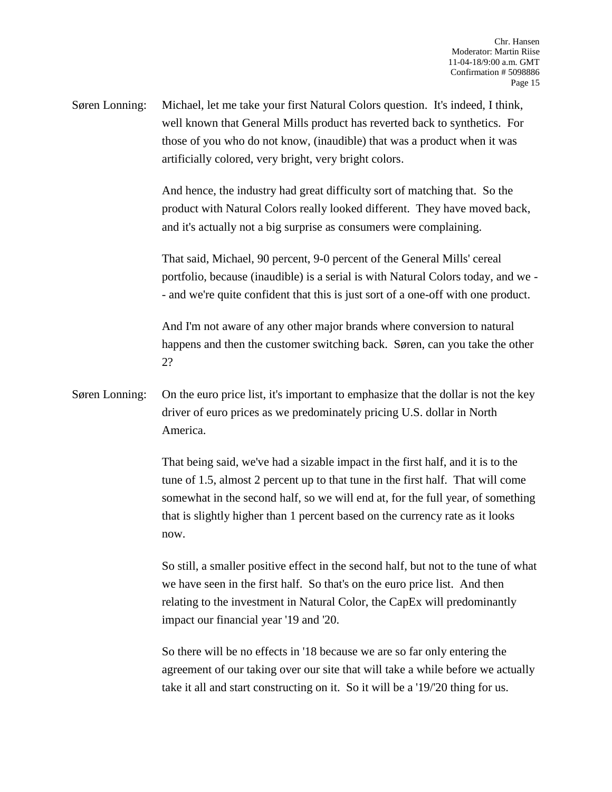Søren Lonning: Michael, let me take your first Natural Colors question. It's indeed, I think, well known that General Mills product has reverted back to synthetics. For those of you who do not know, (inaudible) that was a product when it was artificially colored, very bright, very bright colors.

> And hence, the industry had great difficulty sort of matching that. So the product with Natural Colors really looked different. They have moved back, and it's actually not a big surprise as consumers were complaining.

That said, Michael, 90 percent, 9-0 percent of the General Mills' cereal portfolio, because (inaudible) is a serial is with Natural Colors today, and we - - and we're quite confident that this is just sort of a one-off with one product.

And I'm not aware of any other major brands where conversion to natural happens and then the customer switching back. Søren, can you take the other 2?

Søren Lonning: On the euro price list, it's important to emphasize that the dollar is not the key driver of euro prices as we predominately pricing U.S. dollar in North America.

> That being said, we've had a sizable impact in the first half, and it is to the tune of 1.5, almost 2 percent up to that tune in the first half. That will come somewhat in the second half, so we will end at, for the full year, of something that is slightly higher than 1 percent based on the currency rate as it looks now.

> So still, a smaller positive effect in the second half, but not to the tune of what we have seen in the first half. So that's on the euro price list. And then relating to the investment in Natural Color, the CapEx will predominantly impact our financial year '19 and '20.

> So there will be no effects in '18 because we are so far only entering the agreement of our taking over our site that will take a while before we actually take it all and start constructing on it. So it will be a '19/'20 thing for us.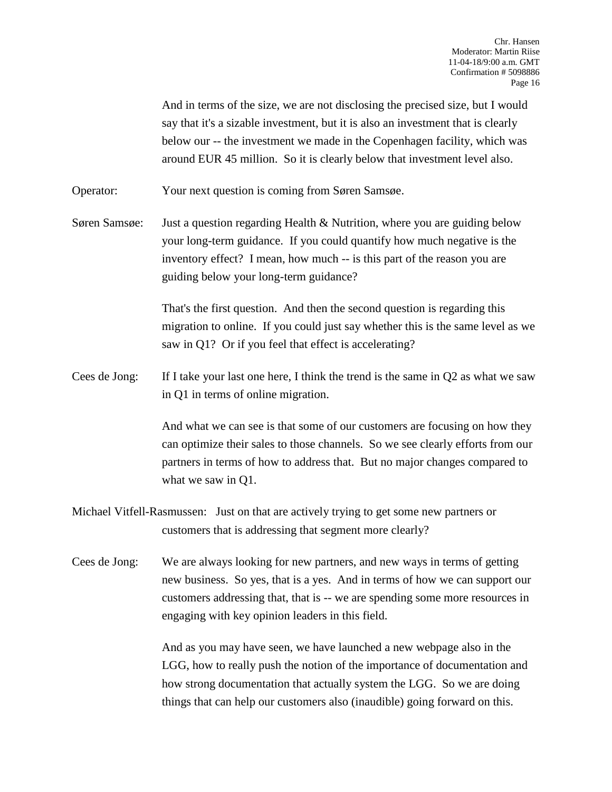And in terms of the size, we are not disclosing the precised size, but I would say that it's a sizable investment, but it is also an investment that is clearly below our -- the investment we made in the Copenhagen facility, which was around EUR 45 million. So it is clearly below that investment level also.

Operator: Your next question is coming from Søren Samsøe.

Søren Samsøe: Just a question regarding Health & Nutrition, where you are guiding below your long-term guidance. If you could quantify how much negative is the inventory effect? I mean, how much -- is this part of the reason you are guiding below your long-term guidance?

> That's the first question. And then the second question is regarding this migration to online. If you could just say whether this is the same level as we saw in Q1? Or if you feel that effect is accelerating?

Cees de Jong: If I take your last one here, I think the trend is the same in Q2 as what we saw in Q1 in terms of online migration.

> And what we can see is that some of our customers are focusing on how they can optimize their sales to those channels. So we see clearly efforts from our partners in terms of how to address that. But no major changes compared to what we saw in Q1.

- Michael Vitfell-Rasmussen: Just on that are actively trying to get some new partners or customers that is addressing that segment more clearly?
- Cees de Jong: We are always looking for new partners, and new ways in terms of getting new business. So yes, that is a yes. And in terms of how we can support our customers addressing that, that is -- we are spending some more resources in engaging with key opinion leaders in this field.

And as you may have seen, we have launched a new webpage also in the LGG, how to really push the notion of the importance of documentation and how strong documentation that actually system the LGG. So we are doing things that can help our customers also (inaudible) going forward on this.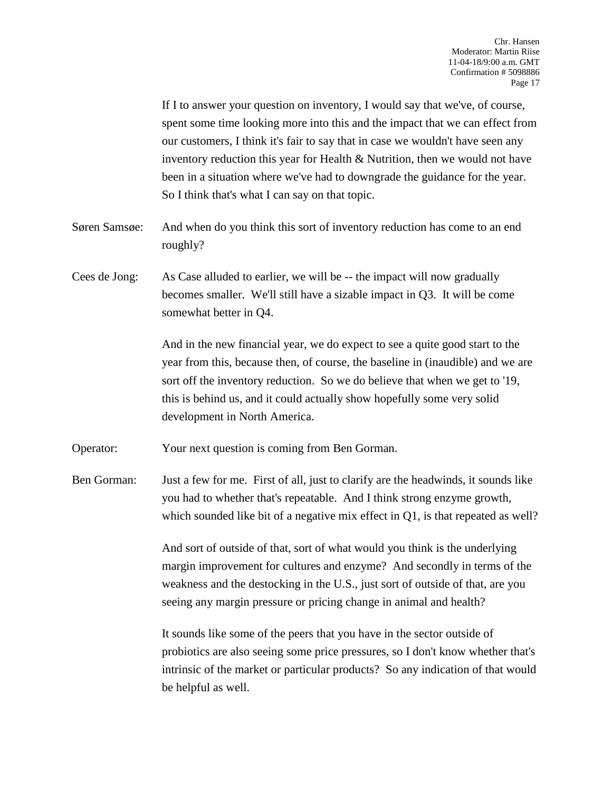|               | If I to answer your question on inventory, I would say that we've, of course,<br>spent some time looking more into this and the impact that we can effect from<br>our customers, I think it's fair to say that in case we wouldn't have seen any<br>inventory reduction this year for Health & Nutrition, then we would not have<br>been in a situation where we've had to downgrade the guidance for the year.<br>So I think that's what I can say on that topic. |
|---------------|--------------------------------------------------------------------------------------------------------------------------------------------------------------------------------------------------------------------------------------------------------------------------------------------------------------------------------------------------------------------------------------------------------------------------------------------------------------------|
| Søren Samsøe: | And when do you think this sort of inventory reduction has come to an end<br>roughly?                                                                                                                                                                                                                                                                                                                                                                              |
| Cees de Jong: | As Case alluded to earlier, we will be -- the impact will now gradually<br>becomes smaller. We'll still have a sizable impact in Q3. It will be come<br>somewhat better in Q4.                                                                                                                                                                                                                                                                                     |
|               | And in the new financial year, we do expect to see a quite good start to the<br>year from this, because then, of course, the baseline in (inaudible) and we are<br>sort off the inventory reduction. So we do believe that when we get to '19,<br>this is behind us, and it could actually show hopefully some very solid<br>development in North America.                                                                                                         |
| Operator:     | Your next question is coming from Ben Gorman.                                                                                                                                                                                                                                                                                                                                                                                                                      |
| Ben Gorman:   | Just a few for me. First of all, just to clarify are the headwinds, it sounds like<br>you had to whether that's repeatable. And I think strong enzyme growth,<br>which sounded like bit of a negative mix effect in $Q1$ , is that repeated as well?                                                                                                                                                                                                               |
|               | And sort of outside of that, sort of what would you think is the underlying<br>margin improvement for cultures and enzyme? And secondly in terms of the<br>weakness and the destocking in the U.S., just sort of outside of that, are you<br>seeing any margin pressure or pricing change in animal and health?                                                                                                                                                    |
|               | It sounds like some of the peers that you have in the sector outside of<br>probiotics are also seeing some price pressures, so I don't know whether that's<br>intrinsic of the market or particular products? So any indication of that would<br>be helpful as well.                                                                                                                                                                                               |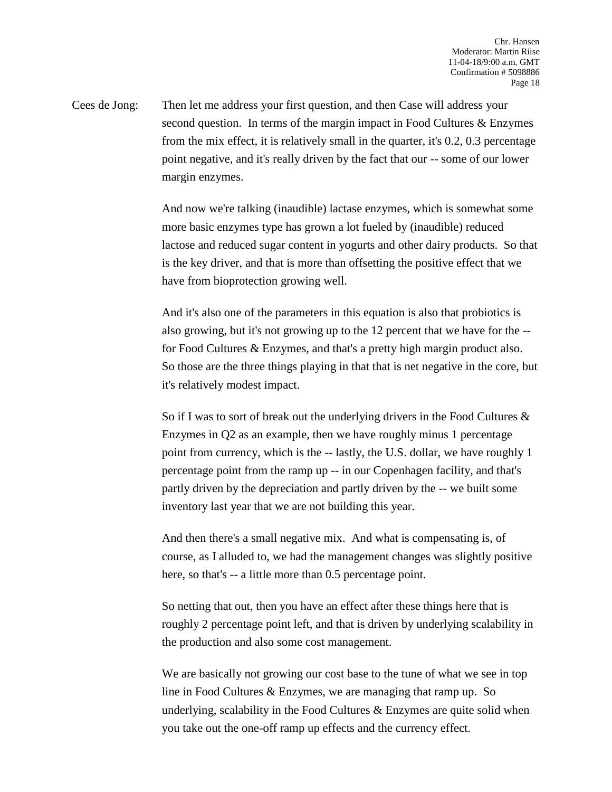Cees de Jong: Then let me address your first question, and then Case will address your second question. In terms of the margin impact in Food Cultures & Enzymes from the mix effect, it is relatively small in the quarter, it's 0.2, 0.3 percentage point negative, and it's really driven by the fact that our -- some of our lower margin enzymes.

> And now we're talking (inaudible) lactase enzymes, which is somewhat some more basic enzymes type has grown a lot fueled by (inaudible) reduced lactose and reduced sugar content in yogurts and other dairy products. So that is the key driver, and that is more than offsetting the positive effect that we have from bioprotection growing well.

> And it's also one of the parameters in this equation is also that probiotics is also growing, but it's not growing up to the 12 percent that we have for the - for Food Cultures & Enzymes, and that's a pretty high margin product also. So those are the three things playing in that that is net negative in the core, but it's relatively modest impact.

So if I was to sort of break out the underlying drivers in the Food Cultures & Enzymes in Q2 as an example, then we have roughly minus 1 percentage point from currency, which is the -- lastly, the U.S. dollar, we have roughly 1 percentage point from the ramp up -- in our Copenhagen facility, and that's partly driven by the depreciation and partly driven by the -- we built some inventory last year that we are not building this year.

And then there's a small negative mix. And what is compensating is, of course, as I alluded to, we had the management changes was slightly positive here, so that's -- a little more than 0.5 percentage point.

So netting that out, then you have an effect after these things here that is roughly 2 percentage point left, and that is driven by underlying scalability in the production and also some cost management.

We are basically not growing our cost base to the tune of what we see in top line in Food Cultures & Enzymes, we are managing that ramp up. So underlying, scalability in the Food Cultures  $\&$  Enzymes are quite solid when you take out the one-off ramp up effects and the currency effect.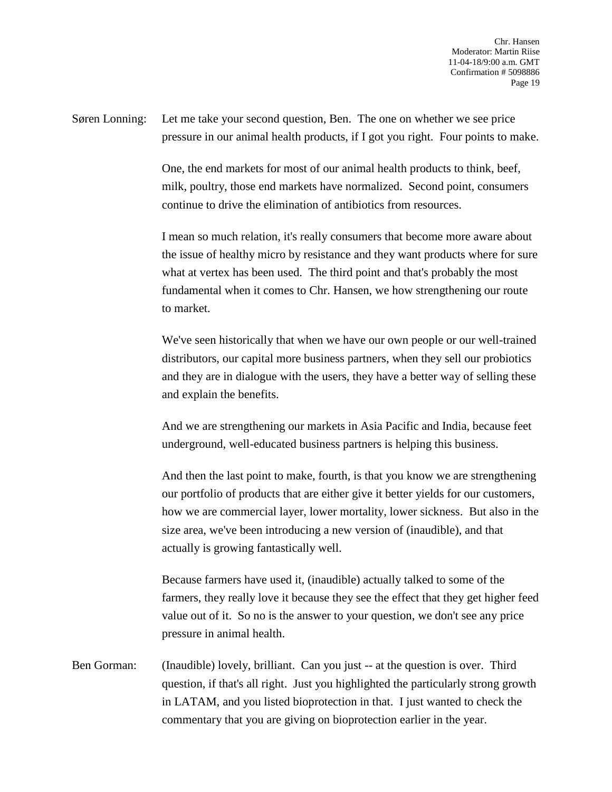Søren Lonning: Let me take your second question, Ben. The one on whether we see price pressure in our animal health products, if I got you right. Four points to make.

> One, the end markets for most of our animal health products to think, beef, milk, poultry, those end markets have normalized. Second point, consumers continue to drive the elimination of antibiotics from resources.

I mean so much relation, it's really consumers that become more aware about the issue of healthy micro by resistance and they want products where for sure what at vertex has been used. The third point and that's probably the most fundamental when it comes to Chr. Hansen, we how strengthening our route to market.

We've seen historically that when we have our own people or our well-trained distributors, our capital more business partners, when they sell our probiotics and they are in dialogue with the users, they have a better way of selling these and explain the benefits.

And we are strengthening our markets in Asia Pacific and India, because feet underground, well-educated business partners is helping this business.

And then the last point to make, fourth, is that you know we are strengthening our portfolio of products that are either give it better yields for our customers, how we are commercial layer, lower mortality, lower sickness. But also in the size area, we've been introducing a new version of (inaudible), and that actually is growing fantastically well.

Because farmers have used it, (inaudible) actually talked to some of the farmers, they really love it because they see the effect that they get higher feed value out of it. So no is the answer to your question, we don't see any price pressure in animal health.

Ben Gorman: (Inaudible) lovely, brilliant. Can you just -- at the question is over. Third question, if that's all right. Just you highlighted the particularly strong growth in LATAM, and you listed bioprotection in that. I just wanted to check the commentary that you are giving on bioprotection earlier in the year.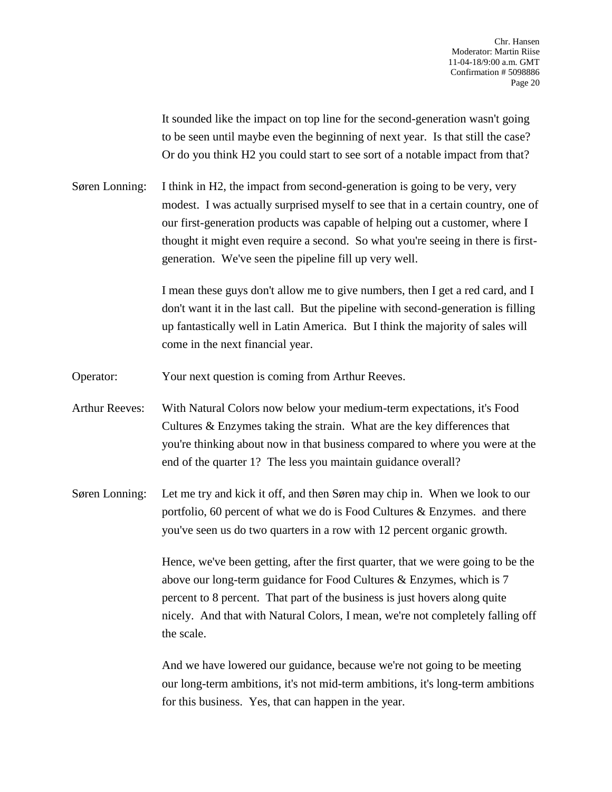It sounded like the impact on top line for the second-generation wasn't going to be seen until maybe even the beginning of next year. Is that still the case? Or do you think H2 you could start to see sort of a notable impact from that?

Søren Lonning: I think in H2, the impact from second-generation is going to be very, very modest. I was actually surprised myself to see that in a certain country, one of our first-generation products was capable of helping out a customer, where I thought it might even require a second. So what you're seeing in there is firstgeneration. We've seen the pipeline fill up very well.

> I mean these guys don't allow me to give numbers, then I get a red card, and I don't want it in the last call. But the pipeline with second-generation is filling up fantastically well in Latin America. But I think the majority of sales will come in the next financial year.

Operator: Your next question is coming from Arthur Reeves.

- Arthur Reeves: With Natural Colors now below your medium-term expectations, it's Food Cultures & Enzymes taking the strain. What are the key differences that you're thinking about now in that business compared to where you were at the end of the quarter 1? The less you maintain guidance overall?
- Søren Lonning: Let me try and kick it off, and then Søren may chip in. When we look to our portfolio, 60 percent of what we do is Food Cultures & Enzymes. and there you've seen us do two quarters in a row with 12 percent organic growth.

Hence, we've been getting, after the first quarter, that we were going to be the above our long-term guidance for Food Cultures & Enzymes, which is 7 percent to 8 percent. That part of the business is just hovers along quite nicely. And that with Natural Colors, I mean, we're not completely falling off the scale.

And we have lowered our guidance, because we're not going to be meeting our long-term ambitions, it's not mid-term ambitions, it's long-term ambitions for this business. Yes, that can happen in the year.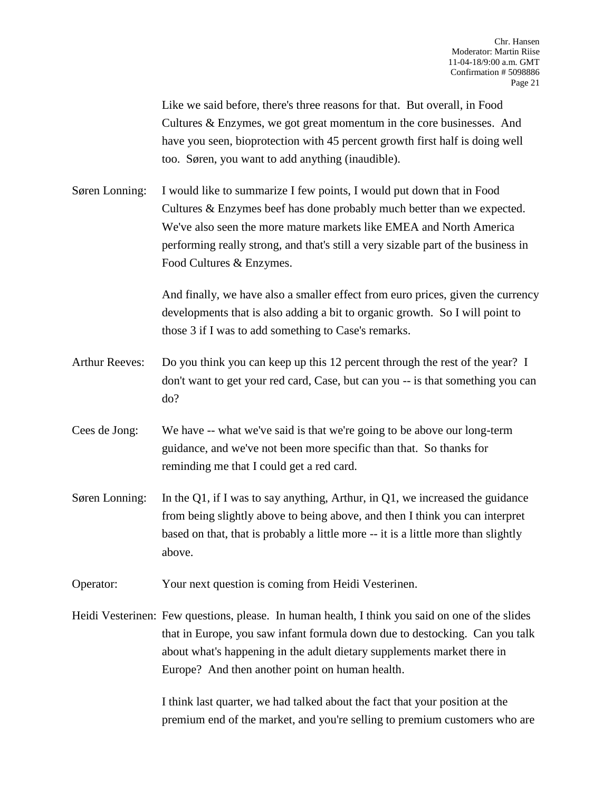Like we said before, there's three reasons for that. But overall, in Food Cultures & Enzymes, we got great momentum in the core businesses. And have you seen, bioprotection with 45 percent growth first half is doing well too. Søren, you want to add anything (inaudible).

Søren Lonning: I would like to summarize I few points, I would put down that in Food Cultures & Enzymes beef has done probably much better than we expected. We've also seen the more mature markets like EMEA and North America performing really strong, and that's still a very sizable part of the business in Food Cultures & Enzymes.

> And finally, we have also a smaller effect from euro prices, given the currency developments that is also adding a bit to organic growth. So I will point to those 3 if I was to add something to Case's remarks.

- Arthur Reeves: Do you think you can keep up this 12 percent through the rest of the year? I don't want to get your red card, Case, but can you -- is that something you can do?
- Cees de Jong: We have -- what we've said is that we're going to be above our long-term guidance, and we've not been more specific than that. So thanks for reminding me that I could get a red card.
- Søren Lonning: In the Q1, if I was to say anything, Arthur, in Q1, we increased the guidance from being slightly above to being above, and then I think you can interpret based on that, that is probably a little more -- it is a little more than slightly above.
- Operator: Your next question is coming from Heidi Vesterinen.
- Heidi Vesterinen: Few questions, please. In human health, I think you said on one of the slides that in Europe, you saw infant formula down due to destocking. Can you talk about what's happening in the adult dietary supplements market there in Europe? And then another point on human health.

I think last quarter, we had talked about the fact that your position at the premium end of the market, and you're selling to premium customers who are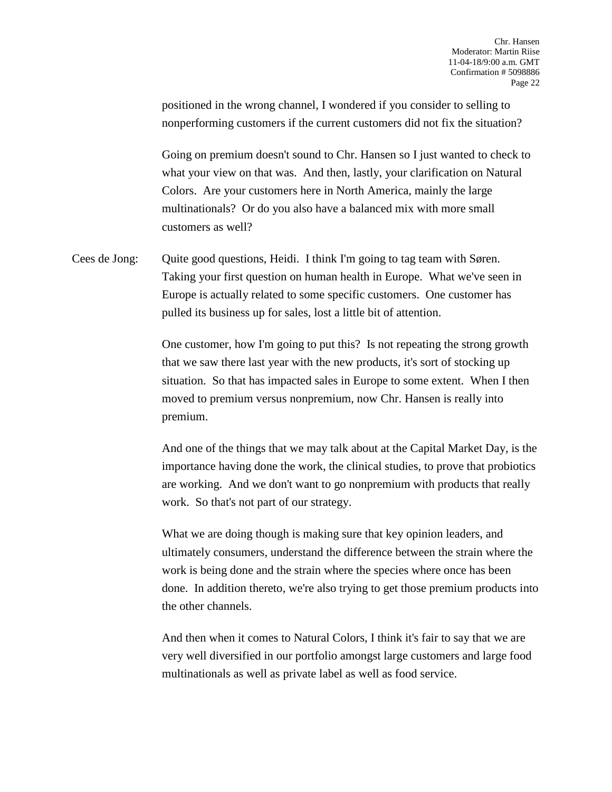positioned in the wrong channel, I wondered if you consider to selling to nonperforming customers if the current customers did not fix the situation?

Going on premium doesn't sound to Chr. Hansen so I just wanted to check to what your view on that was. And then, lastly, your clarification on Natural Colors. Are your customers here in North America, mainly the large multinationals? Or do you also have a balanced mix with more small customers as well?

Cees de Jong: Quite good questions, Heidi. I think I'm going to tag team with Søren. Taking your first question on human health in Europe. What we've seen in Europe is actually related to some specific customers. One customer has pulled its business up for sales, lost a little bit of attention.

> One customer, how I'm going to put this? Is not repeating the strong growth that we saw there last year with the new products, it's sort of stocking up situation. So that has impacted sales in Europe to some extent. When I then moved to premium versus nonpremium, now Chr. Hansen is really into premium.

And one of the things that we may talk about at the Capital Market Day, is the importance having done the work, the clinical studies, to prove that probiotics are working. And we don't want to go nonpremium with products that really work. So that's not part of our strategy.

What we are doing though is making sure that key opinion leaders, and ultimately consumers, understand the difference between the strain where the work is being done and the strain where the species where once has been done. In addition thereto, we're also trying to get those premium products into the other channels.

And then when it comes to Natural Colors, I think it's fair to say that we are very well diversified in our portfolio amongst large customers and large food multinationals as well as private label as well as food service.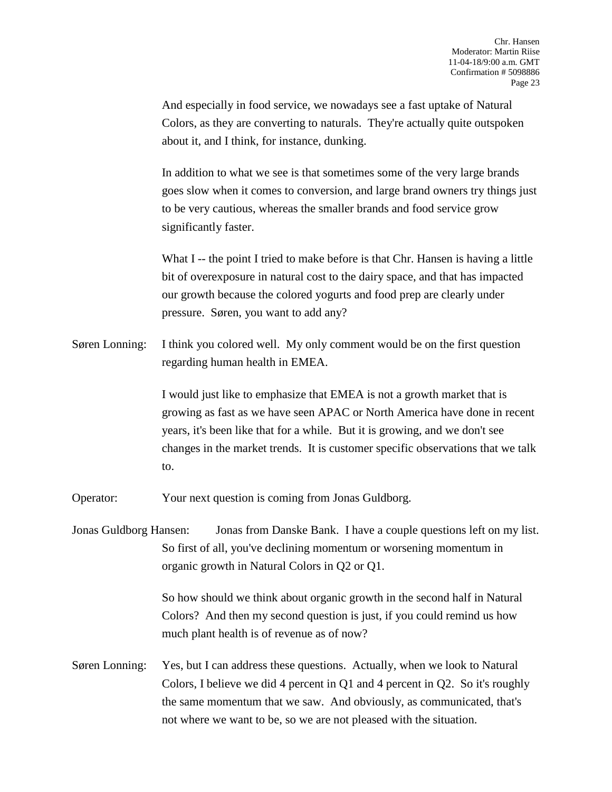And especially in food service, we nowadays see a fast uptake of Natural Colors, as they are converting to naturals. They're actually quite outspoken about it, and I think, for instance, dunking.

In addition to what we see is that sometimes some of the very large brands goes slow when it comes to conversion, and large brand owners try things just to be very cautious, whereas the smaller brands and food service grow significantly faster.

What I -- the point I tried to make before is that Chr. Hansen is having a little bit of overexposure in natural cost to the dairy space, and that has impacted our growth because the colored yogurts and food prep are clearly under pressure. Søren, you want to add any?

Søren Lonning: I think you colored well. My only comment would be on the first question regarding human health in EMEA.

> I would just like to emphasize that EMEA is not a growth market that is growing as fast as we have seen APAC or North America have done in recent years, it's been like that for a while. But it is growing, and we don't see changes in the market trends. It is customer specific observations that we talk to.

Operator: Your next question is coming from Jonas Guldborg.

Jonas Guldborg Hansen: Jonas from Danske Bank. I have a couple questions left on my list. So first of all, you've declining momentum or worsening momentum in organic growth in Natural Colors in Q2 or Q1.

> So how should we think about organic growth in the second half in Natural Colors? And then my second question is just, if you could remind us how much plant health is of revenue as of now?

Søren Lonning: Yes, but I can address these questions. Actually, when we look to Natural Colors, I believe we did 4 percent in Q1 and 4 percent in Q2. So it's roughly the same momentum that we saw. And obviously, as communicated, that's not where we want to be, so we are not pleased with the situation.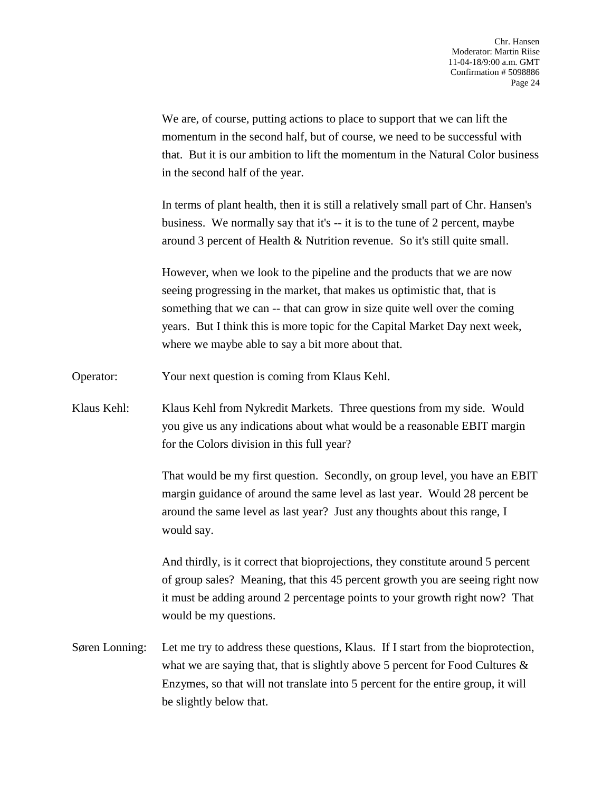We are, of course, putting actions to place to support that we can lift the momentum in the second half, but of course, we need to be successful with that. But it is our ambition to lift the momentum in the Natural Color business in the second half of the year.

In terms of plant health, then it is still a relatively small part of Chr. Hansen's business. We normally say that it's -- it is to the tune of 2 percent, maybe around 3 percent of Health & Nutrition revenue. So it's still quite small.

However, when we look to the pipeline and the products that we are now seeing progressing in the market, that makes us optimistic that, that is something that we can -- that can grow in size quite well over the coming years. But I think this is more topic for the Capital Market Day next week, where we maybe able to say a bit more about that.

- Operator: Your next question is coming from Klaus Kehl.
- Klaus Kehl: Klaus Kehl from Nykredit Markets. Three questions from my side. Would you give us any indications about what would be a reasonable EBIT margin for the Colors division in this full year?

That would be my first question. Secondly, on group level, you have an EBIT margin guidance of around the same level as last year. Would 28 percent be around the same level as last year? Just any thoughts about this range, I would say.

And thirdly, is it correct that bioprojections, they constitute around 5 percent of group sales? Meaning, that this 45 percent growth you are seeing right now it must be adding around 2 percentage points to your growth right now? That would be my questions.

Søren Lonning: Let me try to address these questions, Klaus. If I start from the bioprotection, what we are saying that, that is slightly above 5 percent for Food Cultures & Enzymes, so that will not translate into 5 percent for the entire group, it will be slightly below that.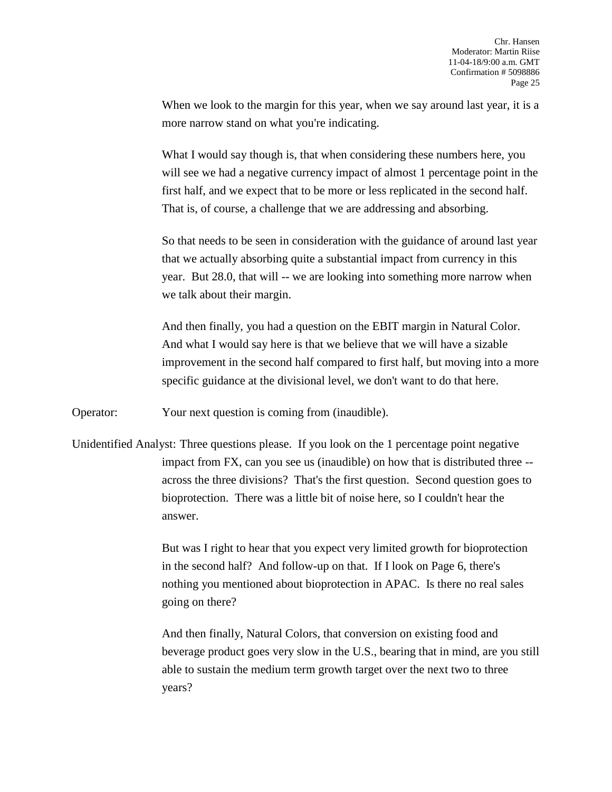When we look to the margin for this year, when we say around last year, it is a more narrow stand on what you're indicating.

What I would say though is, that when considering these numbers here, you will see we had a negative currency impact of almost 1 percentage point in the first half, and we expect that to be more or less replicated in the second half. That is, of course, a challenge that we are addressing and absorbing.

So that needs to be seen in consideration with the guidance of around last year that we actually absorbing quite a substantial impact from currency in this year. But 28.0, that will -- we are looking into something more narrow when we talk about their margin.

And then finally, you had a question on the EBIT margin in Natural Color. And what I would say here is that we believe that we will have a sizable improvement in the second half compared to first half, but moving into a more specific guidance at the divisional level, we don't want to do that here.

Operator: Your next question is coming from (inaudible).

Unidentified Analyst: Three questions please. If you look on the 1 percentage point negative impact from FX, can you see us (inaudible) on how that is distributed three - across the three divisions? That's the first question. Second question goes to bioprotection. There was a little bit of noise here, so I couldn't hear the answer.

> But was I right to hear that you expect very limited growth for bioprotection in the second half? And follow-up on that. If I look on Page 6, there's nothing you mentioned about bioprotection in APAC. Is there no real sales going on there?

And then finally, Natural Colors, that conversion on existing food and beverage product goes very slow in the U.S., bearing that in mind, are you still able to sustain the medium term growth target over the next two to three years?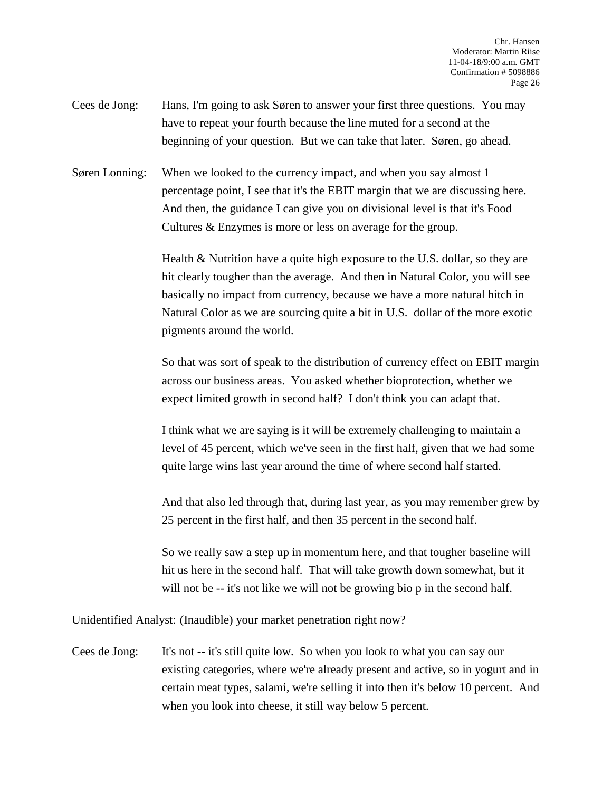- Cees de Jong: Hans, I'm going to ask Søren to answer your first three questions. You may have to repeat your fourth because the line muted for a second at the beginning of your question. But we can take that later. Søren, go ahead.
- Søren Lonning: When we looked to the currency impact, and when you say almost 1 percentage point, I see that it's the EBIT margin that we are discussing here. And then, the guidance I can give you on divisional level is that it's Food Cultures & Enzymes is more or less on average for the group.

Health & Nutrition have a quite high exposure to the U.S. dollar, so they are hit clearly tougher than the average. And then in Natural Color, you will see basically no impact from currency, because we have a more natural hitch in Natural Color as we are sourcing quite a bit in U.S. dollar of the more exotic pigments around the world.

So that was sort of speak to the distribution of currency effect on EBIT margin across our business areas. You asked whether bioprotection, whether we expect limited growth in second half? I don't think you can adapt that.

I think what we are saying is it will be extremely challenging to maintain a level of 45 percent, which we've seen in the first half, given that we had some quite large wins last year around the time of where second half started.

And that also led through that, during last year, as you may remember grew by 25 percent in the first half, and then 35 percent in the second half.

So we really saw a step up in momentum here, and that tougher baseline will hit us here in the second half. That will take growth down somewhat, but it will not be -- it's not like we will not be growing bio p in the second half.

Unidentified Analyst: (Inaudible) your market penetration right now?

Cees de Jong: It's not -- it's still quite low. So when you look to what you can say our existing categories, where we're already present and active, so in yogurt and in certain meat types, salami, we're selling it into then it's below 10 percent. And when you look into cheese, it still way below 5 percent.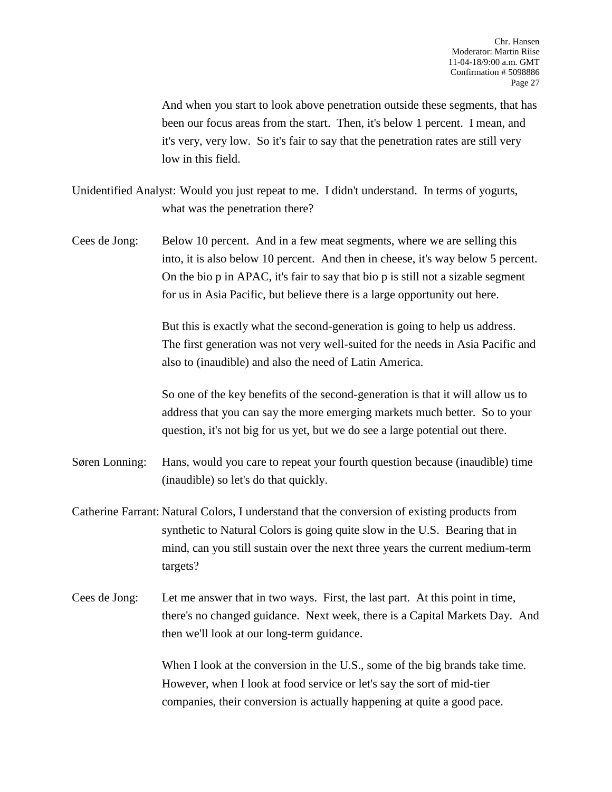And when you start to look above penetration outside these segments, that has been our focus areas from the start. Then, it's below 1 percent. I mean, and it's very, very low. So it's fair to say that the penetration rates are still very low in this field.

- Unidentified Analyst: Would you just repeat to me. I didn't understand. In terms of yogurts, what was the penetration there?
- Cees de Jong: Below 10 percent. And in a few meat segments, where we are selling this into, it is also below 10 percent. And then in cheese, it's way below 5 percent. On the bio p in APAC, it's fair to say that bio p is still not a sizable segment for us in Asia Pacific, but believe there is a large opportunity out here.

But this is exactly what the second-generation is going to help us address. The first generation was not very well-suited for the needs in Asia Pacific and also to (inaudible) and also the need of Latin America.

So one of the key benefits of the second-generation is that it will allow us to address that you can say the more emerging markets much better. So to your question, it's not big for us yet, but we do see a large potential out there.

- Søren Lonning: Hans, would you care to repeat your fourth question because (inaudible) time (inaudible) so let's do that quickly.
- Catherine Farrant: Natural Colors, I understand that the conversion of existing products from synthetic to Natural Colors is going quite slow in the U.S. Bearing that in mind, can you still sustain over the next three years the current medium-term targets?
- Cees de Jong: Let me answer that in two ways. First, the last part. At this point in time, there's no changed guidance. Next week, there is a Capital Markets Day. And then we'll look at our long-term guidance.

When I look at the conversion in the U.S., some of the big brands take time. However, when I look at food service or let's say the sort of mid-tier companies, their conversion is actually happening at quite a good pace.